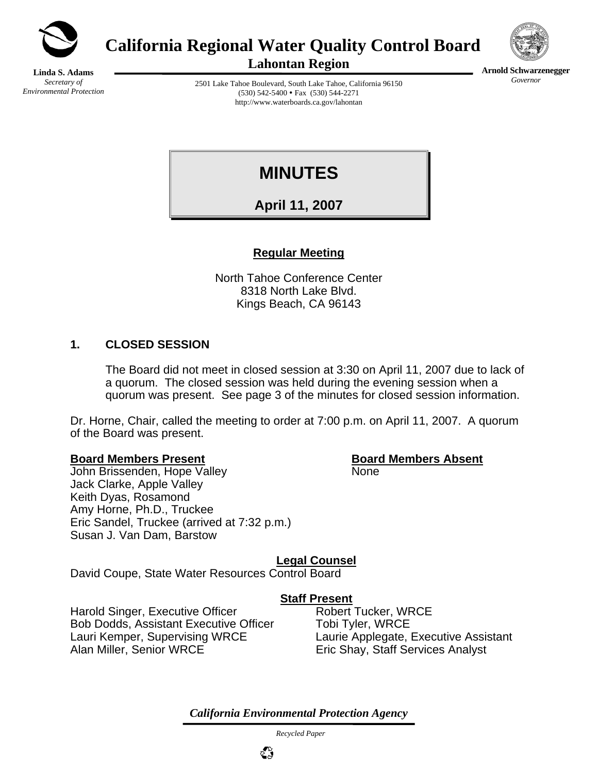

**California Regional Water Quality Control Board** 



**Arnold Schwarzenegger** *Governor* 

**Linda S. Adams**  *Secretary of Environmental Protection*  **Lahontan Region** 

2501 Lake Tahoe Boulevard, South Lake Tahoe, California 96150  $(530)$  542-5400 • Fax  $(530)$  544-2271 http://www.waterboards.ca.gov/lahontan

**MINUTES** 

**April 11, 2007**

# **Regular Meeting**

North Tahoe Conference Center 8318 North Lake Blvd. Kings Beach, CA 96143

#### **1. CLOSED SESSION**

The Board did not meet in closed session at 3:30 on April 11, 2007 due to lack of a quorum. The closed session was held during the evening session when a quorum was present. See page 3 of the minutes for closed session information.

Dr. Horne, Chair, called the meeting to order at 7:00 p.m. on April 11, 2007. A quorum of the Board was present.

#### **Board Members Present Board Members Absent**

John Brissenden, Hope Valley None Jack Clarke, Apple Valley Keith Dyas, Rosamond Amy Horne, Ph.D., Truckee Eric Sandel, Truckee (arrived at 7:32 p.m.) Susan J. Van Dam, Barstow

**Legal Counsel**

David Coupe, State Water Resources Control Board

## **Staff Present**

Harold Singer, Executive Officer Robert Tucker, WRCE Bob Dodds, Assistant Executive Officer Tobi Tyler, WRCE Lauri Kemper, Supervising WRCE Laurie Applegate, Executive Assistant Alan Miller, Senior WRCE Eric Shay, Staff Services Analyst

*California Environmental Protection Agency*

 *Recycled Paper*

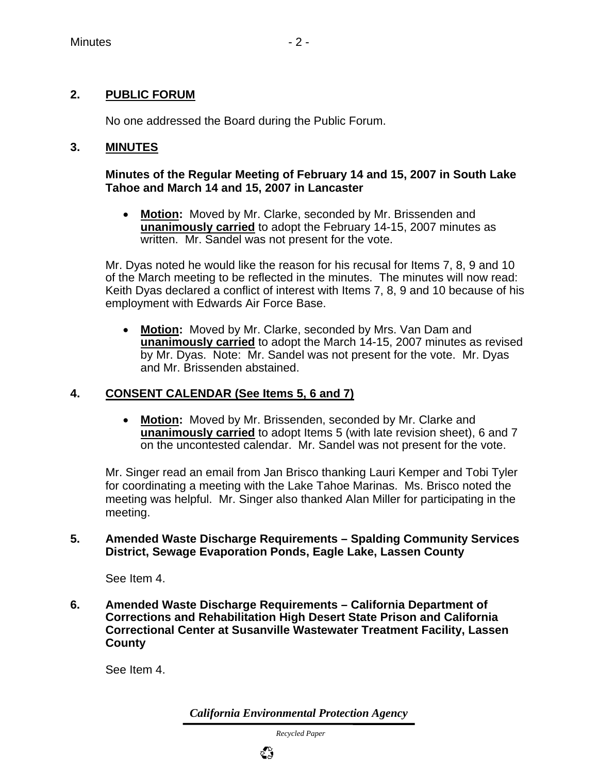## **2. PUBLIC FORUM**

No one addressed the Board during the Public Forum.

#### **3. MINUTES**

#### **Minutes of the Regular Meeting of February 14 and 15, 2007 in South Lake Tahoe and March 14 and 15, 2007 in Lancaster**

• **Motion:** Moved by Mr. Clarke, seconded by Mr. Brissenden and **unanimously carried** to adopt the February 14-15, 2007 minutes as written. Mr. Sandel was not present for the vote.

 Mr. Dyas noted he would like the reason for his recusal for Items 7, 8, 9 and 10 of the March meeting to be reflected in the minutes. The minutes will now read: Keith Dyas declared a conflict of interest with Items 7, 8, 9 and 10 because of his employment with Edwards Air Force Base.

• **Motion:** Moved by Mr. Clarke, seconded by Mrs. Van Dam and **unanimously carried** to adopt the March 14-15, 2007 minutes as revised by Mr. Dyas. Note: Mr. Sandel was not present for the vote. Mr. Dyas and Mr. Brissenden abstained.

## **4. CONSENT CALENDAR (See Items 5, 6 and 7)**

• **Motion:** Moved by Mr. Brissenden, seconded by Mr. Clarke and **unanimously carried** to adopt Items 5 (with late revision sheet), 6 and 7 on the uncontested calendar. Mr. Sandel was not present for the vote.

Mr. Singer read an email from Jan Brisco thanking Lauri Kemper and Tobi Tyler for coordinating a meeting with the Lake Tahoe Marinas. Ms. Brisco noted the meeting was helpful. Mr. Singer also thanked Alan Miller for participating in the meeting.

#### **5. Amended Waste Discharge Requirements – Spalding Community Services District, Sewage Evaporation Ponds, Eagle Lake, Lassen County**

See Item 4.

**6. Amended Waste Discharge Requirements – California Department of Corrections and Rehabilitation High Desert State Prison and California Correctional Center at Susanville Wastewater Treatment Facility, Lassen County** 

See Item 4.

*California Environmental Protection Agency*

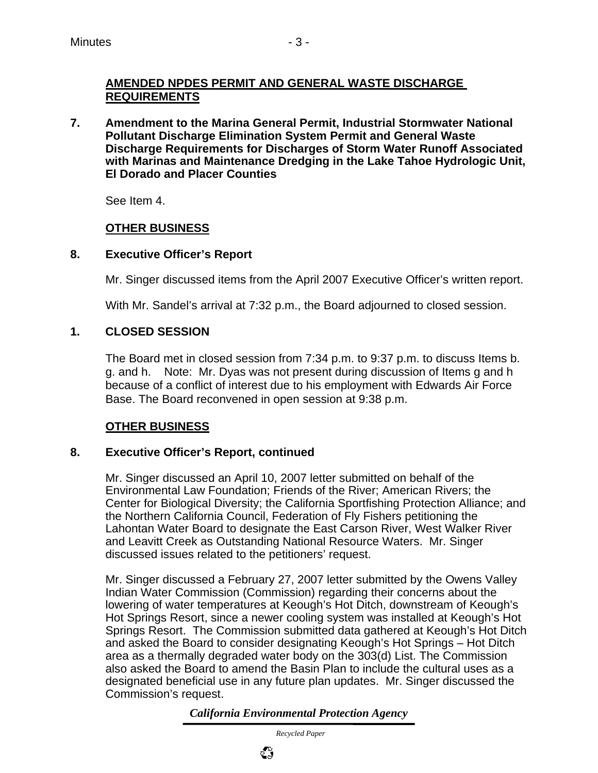## **AMENDED NPDES PERMIT AND GENERAL WASTE DISCHARGE REQUIREMENTS**

**7. Amendment to the Marina General Permit, Industrial Stormwater National Pollutant Discharge Elimination System Permit and General Waste Discharge Requirements for Discharges of Storm Water Runoff Associated with Marinas and Maintenance Dredging in the Lake Tahoe Hydrologic Unit, El Dorado and Placer Counties** 

See Item 4.

# **OTHER BUSINESS**

# **8. Executive Officer's Report**

Mr. Singer discussed items from the April 2007 Executive Officer's written report.

With Mr. Sandel's arrival at 7:32 p.m., the Board adjourned to closed session.

# **1. CLOSED SESSION**

The Board met in closed session from 7:34 p.m. to 9:37 p.m. to discuss Items b. g. and h. Note: Mr. Dyas was not present during discussion of Items g and h because of a conflict of interest due to his employment with Edwards Air Force Base. The Board reconvened in open session at 9:38 p.m.

# **OTHER BUSINESS**

## **8. Executive Officer's Report, continued**

Mr. Singer discussed an April 10, 2007 letter submitted on behalf of the Environmental Law Foundation; Friends of the River; American Rivers; the Center for Biological Diversity; the California Sportfishing Protection Alliance; and the Northern California Council, Federation of Fly Fishers petitioning the Lahontan Water Board to designate the East Carson River, West Walker River and Leavitt Creek as Outstanding National Resource Waters. Mr. Singer discussed issues related to the petitioners' request.

Mr. Singer discussed a February 27, 2007 letter submitted by the Owens Valley Indian Water Commission (Commission) regarding their concerns about the lowering of water temperatures at Keough's Hot Ditch, downstream of Keough's Hot Springs Resort, since a newer cooling system was installed at Keough's Hot Springs Resort. The Commission submitted data gathered at Keough's Hot Ditch and asked the Board to consider designating Keough's Hot Springs – Hot Ditch area as a thermally degraded water body on the 303(d) List. The Commission also asked the Board to amend the Basin Plan to include the cultural uses as a designated beneficial use in any future plan updates. Mr. Singer discussed the Commission's request.

*California Environmental Protection Agency*

 *Recycled Paper*